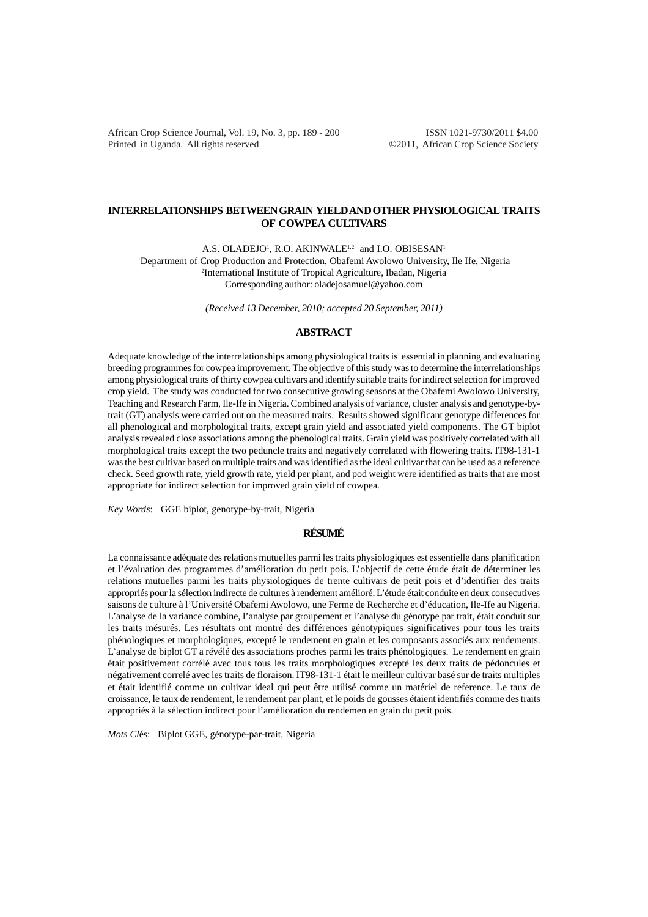African Crop Science Journal, Vol. 19, No. 3, pp. 189 - 200 ISSN 1021-9730/2011 \$4.00 Printed in Uganda. All rights reserved ©2011, African Crop Science Society

# **INTERRELATIONSHIPS BETWEEN GRAIN YIELD AND OTHER PHYSIOLOGICAL TRAITS OF COWPEA CULTIVARS**

A.S. OLADEJO<sup>1</sup>, R.O. AKINWALE<sup>1,2</sup> and I.O. OBISESAN<sup>1</sup>

1 Department of Crop Production and Protection, Obafemi Awolowo University, Ile Ife, Nigeria 2 International Institute of Tropical Agriculture, Ibadan, Nigeria Corresponding author: oladejosamuel@yahoo.com

*(Received 13 December, 2010; accepted 20 September, 2011)*

## **ABSTRACT**

Adequate knowledge of the interrelationships among physiological traits is essential in planning and evaluating breeding programmes for cowpea improvement. The objective of this study was to determine the interrelationships among physiological traits of thirty cowpea cultivars and identify suitable traits for indirect selection for improved crop yield. The study was conducted for two consecutive growing seasons at the Obafemi Awolowo University, Teaching and Research Farm, Ile-Ife in Nigeria. Combined analysis of variance, cluster analysis and genotype-bytrait (GT) analysis were carried out on the measured traits. Results showed significant genotype differences for all phenological and morphological traits, except grain yield and associated yield components. The GT biplot analysis revealed close associations among the phenological traits. Grain yield was positively correlated with all morphological traits except the two peduncle traits and negatively correlated with flowering traits. IT98-131-1 was the best cultivar based on multiple traits and was identified as the ideal cultivar that can be used as a reference check. Seed growth rate, yield growth rate, yield per plant, and pod weight were identified as traits that are most appropriate for indirect selection for improved grain yield of cowpea.

*Key Words*: GGE biplot, genotype-by-trait, Nigeria

## **RÉSUMÉ**

La connaissance adéquate des relations mutuelles parmi les traits physiologiques est essentielle dans planification et l'évaluation des programmes d'amélioration du petit pois. L'objectif de cette étude était de déterminer les relations mutuelles parmi les traits physiologiques de trente cultivars de petit pois et d'identifier des traits appropriés pour la sélection indirecte de cultures à rendement amélioré. L'étude était conduite en deux consecutives saisons de culture à l'Université Obafemi Awolowo, une Ferme de Recherche et d'éducation, Ile-Ife au Nigeria. L'analyse de la variance combine, l'analyse par groupement et l'analyse du génotype par trait, était conduit sur les traits mésurés. Les résultats ont montré des différences génotypiques significatives pour tous les traits phénologiques et morphologiques, excepté le rendement en grain et les composants associés aux rendements. L'analyse de biplot GT a révélé des associations proches parmi les traits phénologiques. Le rendement en grain était positivement corrélé avec tous tous les traits morphologiques excepté les deux traits de pédoncules et négativement correlé avec les traits de floraison. IT98-131-1 était le meilleur cultivar basé sur de traits multiples et était identifié comme un cultivar ideal qui peut être utilisé comme un matériel de reference. Le taux de croissance, le taux de rendement, le rendement par plant, et le poids de gousses étaient identifiés comme des traits appropriés à la sélection indirect pour l'amélioration du rendemen en grain du petit pois.

*Mots Cl*és: Biplot GGE, génotype-par-trait, Nigeria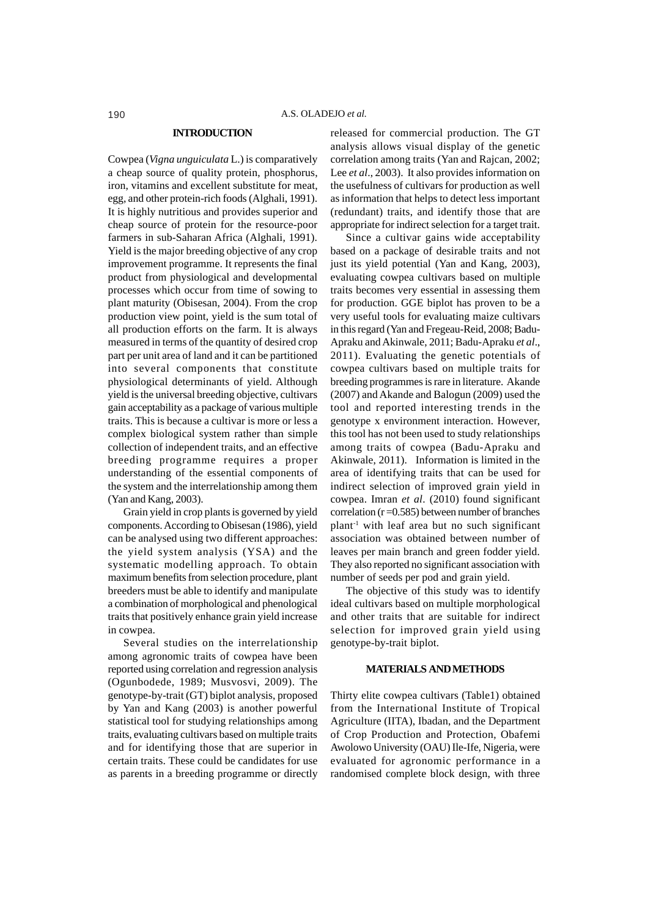## **INTRODUCTION**

Cowpea (*Vigna unguiculata* L.) is comparatively a cheap source of quality protein, phosphorus, iron, vitamins and excellent substitute for meat, egg, and other protein-rich foods (Alghali, 1991). It is highly nutritious and provides superior and cheap source of protein for the resource-poor farmers in sub-Saharan Africa (Alghali, 1991). Yield is the major breeding objective of any crop improvement programme. It represents the final product from physiological and developmental processes which occur from time of sowing to plant maturity (Obisesan, 2004). From the crop production view point, yield is the sum total of all production efforts on the farm. It is always measured in terms of the quantity of desired crop part per unit area of land and it can be partitioned into several components that constitute physiological determinants of yield. Although yield is the universal breeding objective, cultivars gain acceptability as a package of various multiple traits. This is because a cultivar is more or less a complex biological system rather than simple collection of independent traits, and an effective breeding programme requires a proper understanding of the essential components of the system and the interrelationship among them (Yan and Kang, 2003).

Grain yield in crop plants is governed by yield components. According to Obisesan (1986), yield can be analysed using two different approaches: the yield system analysis (YSA) and the systematic modelling approach. To obtain maximum benefits from selection procedure, plant breeders must be able to identify and manipulate a combination of morphological and phenological traits that positively enhance grain yield increase in cowpea.

Several studies on the interrelationship among agronomic traits of cowpea have been reported using correlation and regression analysis (Ogunbodede, 1989; Musvosvi, 2009). The genotype-by-trait (GT) biplot analysis, proposed by Yan and Kang (2003) is another powerful statistical tool for studying relationships among traits, evaluating cultivars based on multiple traits and for identifying those that are superior in certain traits. These could be candidates for use as parents in a breeding programme or directly released for commercial production. The GT analysis allows visual display of the genetic correlation among traits (Yan and Rajcan, 2002; Lee *et al*., 2003). It also provides information on the usefulness of cultivars for production as well as information that helps to detect less important (redundant) traits, and identify those that are appropriate for indirect selection for a target trait.

Since a cultivar gains wide acceptability based on a package of desirable traits and not just its yield potential (Yan and Kang, 2003), evaluating cowpea cultivars based on multiple traits becomes very essential in assessing them for production. GGE biplot has proven to be a very useful tools for evaluating maize cultivars in this regard (Yan and Fregeau-Reid, 2008; Badu-Apraku and Akinwale, 2011; Badu-Apraku *et al*., 2011). Evaluating the genetic potentials of cowpea cultivars based on multiple traits for breeding programmes is rare in literature. Akande (2007) and Akande and Balogun (2009) used the tool and reported interesting trends in the genotype x environment interaction. However, this tool has not been used to study relationships among traits of cowpea (Badu-Apraku and Akinwale, 2011). Information is limited in the area of identifying traits that can be used for indirect selection of improved grain yield in cowpea. Imran *et al*. (2010) found significant correlation  $(r=0.585)$  between number of branches  $plant<sup>-1</sup>$  with leaf area but no such significant association was obtained between number of leaves per main branch and green fodder yield. They also reported no significant association with number of seeds per pod and grain yield.

The objective of this study was to identify ideal cultivars based on multiple morphological and other traits that are suitable for indirect selection for improved grain yield using genotype-by-trait biplot.

#### **MATERIALS AND METHODS**

Thirty elite cowpea cultivars (Table1) obtained from the International Institute of Tropical Agriculture (IITA), Ibadan, and the Department of Crop Production and Protection, Obafemi Awolowo University (OAU) Ile-Ife, Nigeria, were evaluated for agronomic performance in a randomised complete block design, with three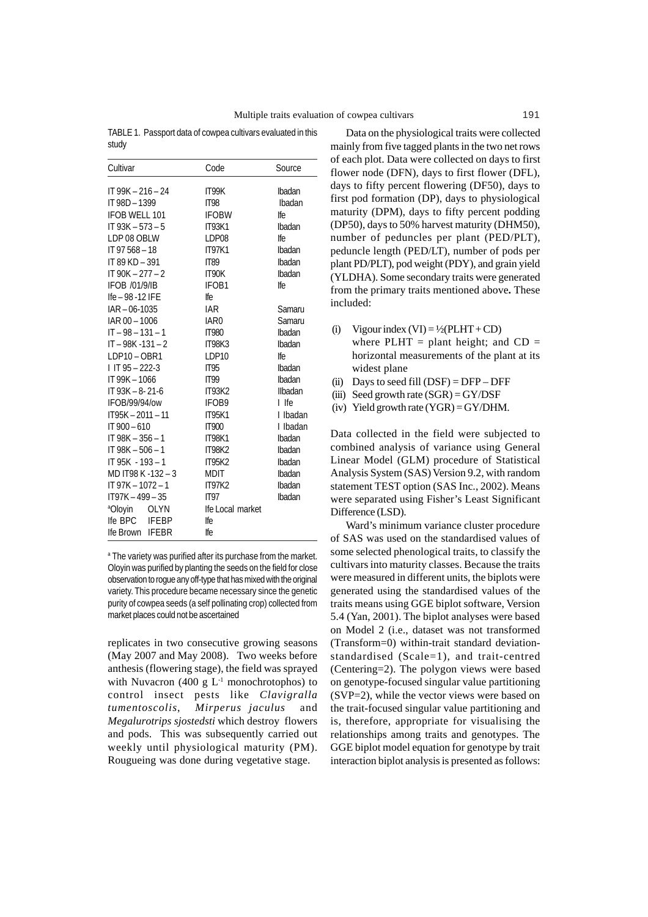TABLE 1. Passport data of cowpea cultivars evaluated in this study

| Cultivar                           | Code             | Source   |
|------------------------------------|------------------|----------|
| IT 99K - 216 - 24                  | IT99K            | Ibadan   |
| IT 98D - 1399                      | IT <sub>98</sub> | Ibadan   |
| <b>IFOB WELL 101</b>               | <b>IFOBW</b>     | lfe.     |
| $IT 93K - 573 - 5$                 | <b>IT93K1</b>    | Ibadan   |
| LDP 08 OBLW                        | LDP08            | lfe.     |
| IT 97 568 - 18                     | <b>IT97K1</b>    | Ibadan   |
| IT 89 KD - 391                     | IT89             | Ibadan   |
| $IT 90K - 277 - 2$                 | IT90K            | Ibadan   |
| <b>IFOB /01/9/IB</b>               | IFOB1            | lfe.     |
| Ife $-98 - 12$ IFE                 | lfe.             |          |
| $IAR - 06 - 1035$                  | <b>IAR</b>       | Samaru   |
| IAR 00 - 1006                      | IAR <sub>0</sub> | Samaru   |
| $IT - 98 - 131 - 1$                | <b>IT980</b>     | Ibadan   |
| $IT - 98K - 131 - 2$               | <b>IT98K3</b>    | Ibadan   |
| LDP10-OBR1                         | LDP10            | lfe.     |
| $1$ IT 95 - 222-3                  | IT95             | Ibadan   |
| IT 99K - 1066                      | IT99             | Ibadan   |
| $IT 93K - 8 - 21 - 6$              | <b>IT93K2</b>    | Ilbadan  |
| IFOB/99/94/ow                      | IFOB9            | I Ife    |
| IT95K-2011-11                      | <b>IT95K1</b>    | I Ibadan |
| $IT 900 - 610$                     | <b>IT900</b>     | I Ibadan |
| $IT 98K - 356 - 1$                 | <b>IT98K1</b>    | Ibadan   |
| $IT 98K - 506 - 1$                 | <b>IT98K2</b>    | Ibadan   |
| IT 95K - 193 - 1                   | <b>IT95K2</b>    | Ibadan   |
| MD IT98 K -132 - 3                 | <b>MDIT</b>      | Ibadan   |
| IT 97K - 1072 - 1                  | <b>IT97K2</b>    | Ibadan   |
| $IT97K - 499 - 35$                 | IT97             | Ibadan   |
| <sup>a</sup> Oloyin<br><b>OLYN</b> | Ife Local market |          |
| Ife BPC<br><b>IFEBP</b>            | lfe.             |          |
| Ife Brown IFEBR                    | lfe.             |          |

a The variety was purified after its purchase from the market. Oloyin was purified by planting the seeds on the field for close observation to rogue any off-type that has mixed with the original variety. This procedure became necessary since the genetic purity of cowpea seeds (a self pollinating crop) collected from market places could not be ascertained

replicates in two consecutive growing seasons (May 2007 and May 2008). Two weeks before anthesis (flowering stage), the field was sprayed with Nuvacron (400 g  $L^{-1}$  monochrotophos) to control insect pests like *Clavigralla tumentoscolis*, *Mirperus jaculus* and *Megalurotrips sjostedsti* which destroy flowers and pods. This was subsequently carried out weekly until physiological maturity (PM). Rougueing was done during vegetative stage.

Data on the physiological traits were collected mainly from five tagged plants in the two net rows of each plot. Data were collected on days to first flower node (DFN), days to first flower (DFL), days to fifty percent flowering (DF50), days to first pod formation (DP), days to physiological maturity (DPM), days to fifty percent podding (DP50), days to 50% harvest maturity (DHM50), number of peduncles per plant (PED/PLT), peduncle length (PED/LT), number of pods per plant PD/PLT), pod weight (PDY), and grain yield (YLDHA). Some secondary traits were generated from the primary traits mentioned above**.** These included:

- (i) Vigour index  $(VI) = \frac{1}{2}(PLHT + CD)$ where PLHT = plant height; and  $CD =$ horizontal measurements of the plant at its widest plane
- (ii) Days to seed fill  $(DSF) = DFP DFF$
- (iii) Seed growth rate  $(SGR) = GY/DSF$

(iv) Yield growth rate  $(YGR) = GY/DHM$ .

Data collected in the field were subjected to combined analysis of variance using General Linear Model (GLM) procedure of Statistical Analysis System (SAS) Version 9.2, with random statement TEST option (SAS Inc., 2002). Means were separated using Fisher's Least Significant Difference (LSD).

Ward's minimum variance cluster procedure of SAS was used on the standardised values of some selected phenological traits, to classify the cultivars into maturity classes. Because the traits were measured in different units, the biplots were generated using the standardised values of the traits means using GGE biplot software, Version 5.4 (Yan, 2001). The biplot analyses were based on Model 2 (i.e., dataset was not transformed (Transform=0) within-trait standard deviationstandardised (Scale=1), and trait-centred (Centering=2). The polygon views were based on genotype-focused singular value partitioning (SVP=2), while the vector views were based on the trait-focused singular value partitioning and is, therefore, appropriate for visualising the relationships among traits and genotypes. The GGE biplot model equation for genotype by trait interaction biplot analysis is presented as follows: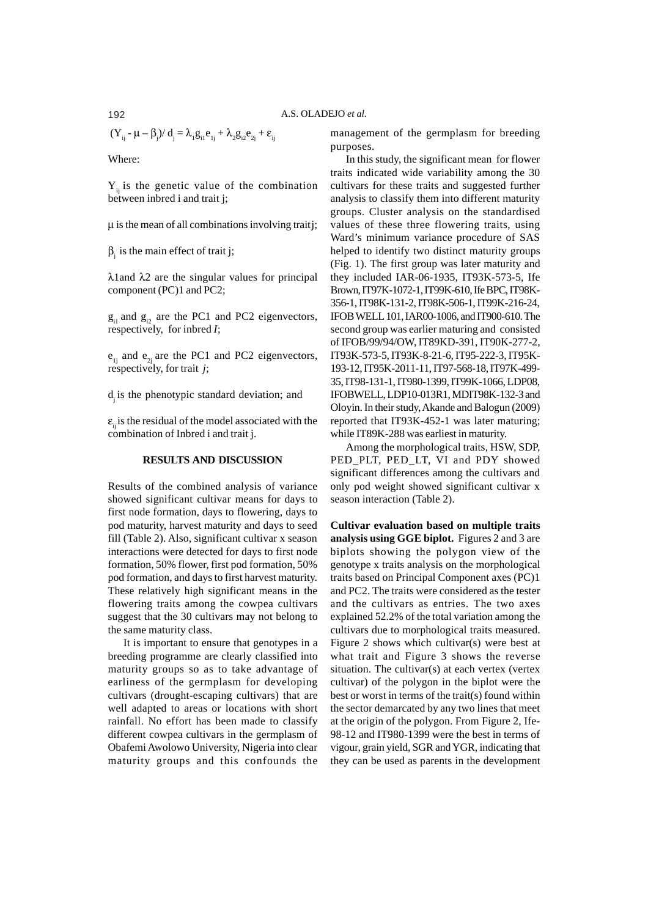$$
(\boldsymbol{Y}_{_{ij}} - \boldsymbol{\mu} - \boldsymbol{\beta}_{_{j}})/\,\boldsymbol{d}_{_{j}} = \lambda_{_{1}}\boldsymbol{g}_{_{i1}}\boldsymbol{e}_{_{1j}} + \lambda_{_{2}}\boldsymbol{g}_{_{i2}}\boldsymbol{e}_{_{2j}} + \boldsymbol{\epsilon}_{_{ij}}
$$

Where:

 $Y_{ii}$  is the genetic value of the combination between inbred i and trait j;

 $\mu$  is the mean of all combinations involving traitj;

 $\beta_j$  is the main effect of trait j;

λ1and λ2 are the singular values for principal component (PC)1 and PC2;

 $g_{i1}$  and  $g_{i2}$  are the PC1 and PC2 eigenvectors, respectively, for inbred *I*;

 $e_{1i}$  and  $e_{2i}$  are the PC1 and PC2 eigenvectors, respectively, for trait *j*;

d<sub>i</sub> is the phenotypic standard deviation; and

 $\varepsilon$ <sub>ii</sub> is the residual of the model associated with the combination of Inbred i and trait j.

## **RESULTS AND DISCUSSION**

Results of the combined analysis of variance showed significant cultivar means for days to first node formation, days to flowering, days to pod maturity, harvest maturity and days to seed fill (Table 2). Also, significant cultivar x season interactions were detected for days to first node formation, 50% flower, first pod formation, 50% pod formation, and days to first harvest maturity. These relatively high significant means in the flowering traits among the cowpea cultivars suggest that the 30 cultivars may not belong to the same maturity class.

It is important to ensure that genotypes in a breeding programme are clearly classified into maturity groups so as to take advantage of earliness of the germplasm for developing cultivars (drought-escaping cultivars) that are well adapted to areas or locations with short rainfall. No effort has been made to classify different cowpea cultivars in the germplasm of Obafemi Awolowo University, Nigeria into clear maturity groups and this confounds the

management of the germplasm for breeding purposes.

In this study, the significant mean for flower traits indicated wide variability among the 30 cultivars for these traits and suggested further analysis to classify them into different maturity groups. Cluster analysis on the standardised values of these three flowering traits, using Ward's minimum variance procedure of SAS helped to identify two distinct maturity groups (Fig. 1). The first group was later maturity and they included IAR-06-1935, IT93K-573-5, Ife Brown, IT97K-1072-1, IT99K-610, Ife BPC, IT98K-356-1, IT98K-131-2, IT98K-506-1, IT99K-216-24, IFOB WELL 101, IAR00-1006, and IT900-610. The second group was earlier maturing and consisted of IFOB/99/94/OW, IT89KD-391, IT90K-277-2, IT93K-573-5, IT93K-8-21-6, IT95-222-3, IT95K-193-12, IT95K-2011-11, IT97-568-18, IT97K-499- 35, IT98-131-1, IT980-1399, IT99K-1066, LDP08, IFOBWELL, LDP10-013R1, MDIT98K-132-3 and Oloyin. In their study, Akande and Balogun (2009) reported that IT93K-452-1 was later maturing; while IT89K-288 was earliest in maturity.

Among the morphological traits, HSW, SDP, PED PLT, PED LT, VI and PDY showed significant differences among the cultivars and only pod weight showed significant cultivar x season interaction (Table 2).

**Cultivar evaluation based on multiple traits analysis using GGE biplot.** Figures 2 and 3 are biplots showing the polygon view of the genotype x traits analysis on the morphological traits based on Principal Component axes (PC)1 and PC2. The traits were considered as the tester and the cultivars as entries. The two axes explained 52.2% of the total variation among the cultivars due to morphological traits measured. Figure 2 shows which cultivar(s) were best at what trait and Figure 3 shows the reverse situation. The cultivar(s) at each vertex (vertex cultivar) of the polygon in the biplot were the best or worst in terms of the trait(s) found within the sector demarcated by any two lines that meet at the origin of the polygon. From Figure 2, Ife-98-12 and IT980-1399 were the best in terms of vigour, grain yield, SGR and YGR, indicating that they can be used as parents in the development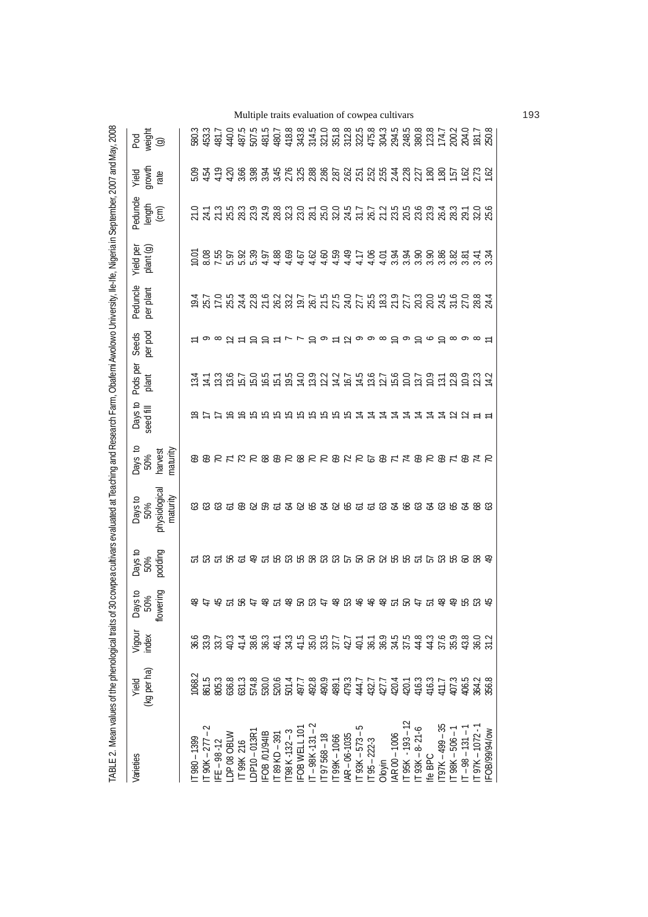| TABLE 2. Mean values of the phenological traits of          |                      |                                                                                                       |                                                                                                      |                                                                                 | 30 cowpea cultivars evaluated at Teaching and Research Farm, Obafemi Awolowo University, Ile-Ife, Nigeria in September, 2007 and May, 2008 |                                       |                      |                          |                                                 |                       |                        |                                                           |                         |                                                                                                                                                                                                                                                                                                                                  |
|-------------------------------------------------------------|----------------------|-------------------------------------------------------------------------------------------------------|------------------------------------------------------------------------------------------------------|---------------------------------------------------------------------------------|--------------------------------------------------------------------------------------------------------------------------------------------|---------------------------------------|----------------------|--------------------------|-------------------------------------------------|-----------------------|------------------------|-----------------------------------------------------------|-------------------------|----------------------------------------------------------------------------------------------------------------------------------------------------------------------------------------------------------------------------------------------------------------------------------------------------------------------------------|
| Varieties                                                   | (kg per ha)<br>Yield | Vigour<br>index                                                                                       | wering<br>Days to<br>50%<br>ιã                                                                       | Days to<br>50%<br>podding                                                       | physiologica<br>maturity<br>Days to<br>50%                                                                                                 | Days to<br>50%<br>maturity<br>harvest | Days to<br>seed fill | Pods per<br>plant        | per pod<br>Seeds                                | Peduncle<br>per plant | plant (g)<br>Yield per | Peduncle<br>$\frac{length}{(cm)}$                         | growth<br>rate<br>Yield | Pod<br>weight<br>(g)                                                                                                                                                                                                                                                                                                             |
| $[980 - 1399]$                                              | 1068.2               |                                                                                                       |                                                                                                      |                                                                                 |                                                                                                                                            |                                       |                      |                          |                                                 |                       |                        |                                                           |                         |                                                                                                                                                                                                                                                                                                                                  |
| $\Gamma$ 90K – 277 –                                        |                      | あ 33 以 4 は 83 あ 4 3 4 5 8 3 7 4 4 8 9 4 5 4 4 5 9 8 4 9 5 7 4 4 5 9 4 4 5 9 4 5 4 4 5 5 4 4 5 6 4 5 7 | 66 년 た 12 명 순 66 년 66 명 12 66 13 66 66 66 12 66 12 66 12 66 67 68 69 69 69 69 69 69 69 69 69 69 69 6 | ក្ខេដ្ឋ ក្នុង ក្នុង ក្នុង ក្នុង ក្នុង ក្នុង ក្នុង ក្នុង ក្នុង ក្នុង ក្នុង ក្នុង | 333558365385385555588388888                                                                                                                | 66215286282282266214626512            |                      | 121<br>121<br>121<br>121 |                                                 |                       |                        | の13589883010057725569431060135898800000000000000000000000 |                         | 580.3<br>453.3<br>440.0<br>440.0                                                                                                                                                                                                                                                                                                 |
| IFE $-98 - 12$                                              |                      |                                                                                                       |                                                                                                      |                                                                                 |                                                                                                                                            |                                       |                      |                          | ○ ∞ 2 H D D H L L D O H D o ∞ O ∞ D o D ∞ 0 ∞ H |                       |                        |                                                           |                         |                                                                                                                                                                                                                                                                                                                                  |
| LDP 08 OBLW                                                 |                      |                                                                                                       |                                                                                                      |                                                                                 |                                                                                                                                            |                                       |                      |                          |                                                 |                       |                        |                                                           |                         |                                                                                                                                                                                                                                                                                                                                  |
| T99K 216                                                    |                      |                                                                                                       |                                                                                                      |                                                                                 |                                                                                                                                            |                                       |                      |                          |                                                 |                       |                        |                                                           |                         | $\begin{array}{l} 49.56 & \text{15.52} \\ 49.56 & \text{16.53} \\ 49.47 & \text{17.54} \\ 49.48 & \text{18.54} \\ 49.47 & \text{18.54} \\ 49.48 & \text{19.54} \\ 40.47 & \text{19.54} \\ 41.47 & \text{19.54} \\ 42.48 & \text{19.54} \\ 43.49 & \text{19.54} \\ 44.49 & \text{19.54} \\ 45.49 & \text{19.54} \\ 46.49 & \text$ |
| $DPI0 - 013R1$                                              |                      |                                                                                                       |                                                                                                      |                                                                                 |                                                                                                                                            |                                       |                      |                          |                                                 |                       |                        |                                                           |                         |                                                                                                                                                                                                                                                                                                                                  |
| FOB /01/941B                                                |                      |                                                                                                       |                                                                                                      |                                                                                 |                                                                                                                                            |                                       |                      |                          |                                                 |                       |                        |                                                           |                         |                                                                                                                                                                                                                                                                                                                                  |
| T89 KD-391                                                  |                      |                                                                                                       |                                                                                                      |                                                                                 |                                                                                                                                            |                                       |                      |                          |                                                 |                       |                        |                                                           |                         |                                                                                                                                                                                                                                                                                                                                  |
| $T98K-132-3$                                                |                      |                                                                                                       |                                                                                                      |                                                                                 |                                                                                                                                            |                                       |                      |                          |                                                 |                       |                        |                                                           |                         |                                                                                                                                                                                                                                                                                                                                  |
| IFOB WELL 10"                                               |                      |                                                                                                       |                                                                                                      |                                                                                 |                                                                                                                                            |                                       |                      |                          |                                                 |                       |                        |                                                           |                         |                                                                                                                                                                                                                                                                                                                                  |
| $IT - 98K - 131 - 2$<br>$IT 97568 - 18$                     |                      |                                                                                                       |                                                                                                      |                                                                                 |                                                                                                                                            |                                       |                      |                          |                                                 |                       |                        |                                                           |                         |                                                                                                                                                                                                                                                                                                                                  |
|                                                             |                      |                                                                                                       |                                                                                                      |                                                                                 |                                                                                                                                            |                                       |                      |                          |                                                 |                       |                        |                                                           |                         |                                                                                                                                                                                                                                                                                                                                  |
| T99K-1066                                                   |                      |                                                                                                       |                                                                                                      |                                                                                 |                                                                                                                                            |                                       |                      |                          |                                                 |                       |                        |                                                           |                         |                                                                                                                                                                                                                                                                                                                                  |
|                                                             |                      |                                                                                                       |                                                                                                      |                                                                                 |                                                                                                                                            |                                       |                      |                          |                                                 |                       |                        |                                                           |                         |                                                                                                                                                                                                                                                                                                                                  |
| IAR-06-1035<br>IT 93K-573-5                                 |                      |                                                                                                       |                                                                                                      |                                                                                 |                                                                                                                                            |                                       |                      |                          |                                                 |                       |                        |                                                           |                         |                                                                                                                                                                                                                                                                                                                                  |
| $T95 - 222 - 3$                                             |                      |                                                                                                       |                                                                                                      |                                                                                 |                                                                                                                                            |                                       |                      |                          |                                                 |                       |                        |                                                           |                         |                                                                                                                                                                                                                                                                                                                                  |
| Oloyin                                                      |                      |                                                                                                       |                                                                                                      |                                                                                 |                                                                                                                                            |                                       |                      |                          |                                                 |                       |                        |                                                           |                         |                                                                                                                                                                                                                                                                                                                                  |
| AR00-1006<br> T95K - 193 - 12<br> T93K - 8-21-6             |                      |                                                                                                       |                                                                                                      |                                                                                 |                                                                                                                                            |                                       |                      |                          |                                                 |                       |                        |                                                           |                         |                                                                                                                                                                                                                                                                                                                                  |
|                                                             |                      |                                                                                                       |                                                                                                      |                                                                                 |                                                                                                                                            |                                       |                      |                          |                                                 |                       |                        |                                                           |                         |                                                                                                                                                                                                                                                                                                                                  |
|                                                             |                      |                                                                                                       |                                                                                                      |                                                                                 |                                                                                                                                            |                                       |                      |                          |                                                 |                       |                        |                                                           |                         |                                                                                                                                                                                                                                                                                                                                  |
| lfe BPC                                                     |                      |                                                                                                       |                                                                                                      |                                                                                 |                                                                                                                                            |                                       |                      |                          |                                                 |                       |                        |                                                           |                         |                                                                                                                                                                                                                                                                                                                                  |
|                                                             |                      |                                                                                                       |                                                                                                      |                                                                                 |                                                                                                                                            |                                       |                      |                          |                                                 |                       |                        |                                                           |                         |                                                                                                                                                                                                                                                                                                                                  |
| $1197K - 499 - 35$<br>IT 98K – 506 – 1<br>IT – 98 – 131 – 1 |                      |                                                                                                       |                                                                                                      |                                                                                 |                                                                                                                                            |                                       |                      |                          |                                                 |                       |                        |                                                           |                         |                                                                                                                                                                                                                                                                                                                                  |
|                                                             |                      |                                                                                                       |                                                                                                      |                                                                                 |                                                                                                                                            |                                       |                      |                          |                                                 |                       |                        |                                                           |                         |                                                                                                                                                                                                                                                                                                                                  |
| T97K-1072-                                                  |                      |                                                                                                       |                                                                                                      |                                                                                 |                                                                                                                                            |                                       |                      |                          |                                                 |                       |                        |                                                           |                         |                                                                                                                                                                                                                                                                                                                                  |
| FOB/99/94/0w                                                |                      |                                                                                                       |                                                                                                      |                                                                                 |                                                                                                                                            |                                       |                      |                          |                                                 |                       |                        |                                                           |                         |                                                                                                                                                                                                                                                                                                                                  |

Multiple traits evaluation of cowpea cultivars 193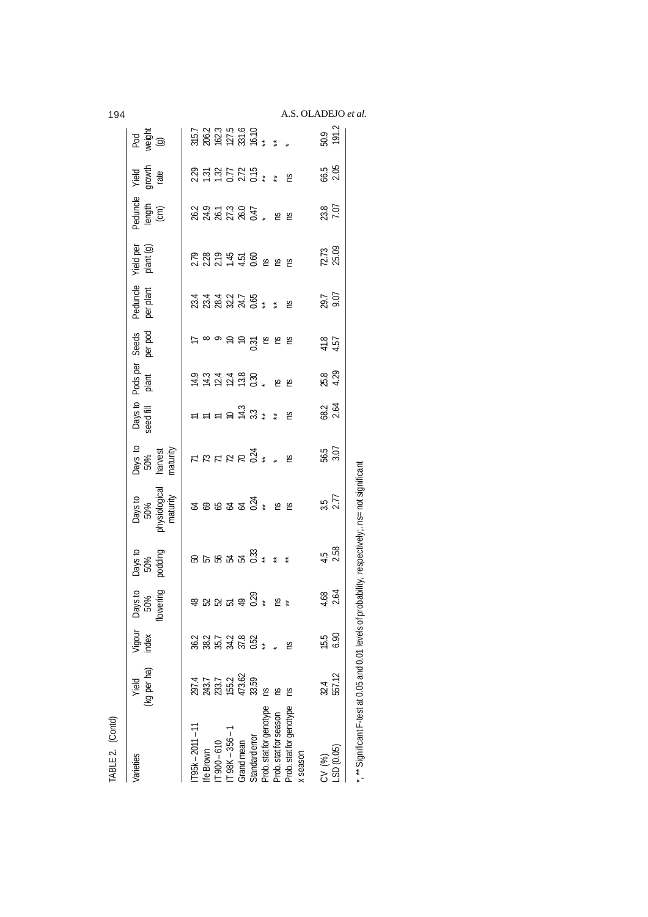| ۰, | ٦<br>۰.<br>× |  |
|----|--------------|--|
|----|--------------|--|

A.S. OLADEJO *et al.*<br> $\frac{1}{50}$   $\frac{1}{50}$   $\frac{1}{50}$ 

| Days to<br>50%<br>wering<br>ឌុក នេះ ខ្ញុំ ខ្ញុំ<br>₽<br>Vigour<br>index<br>3 8 9 9 9 9 9 9<br>3 9 9 9 9 9 9 9<br>(kg per ha)<br>297.4<br>243.7<br>253.7<br>155.2<br>473.59<br>33.59<br>Yield<br>$[95k - 2011 - 11]$<br>$[900 - 610]$<br>fe Brown<br><b>Jarieties</b> | Days to<br>50%<br>podding<br><u>ទេទ្រទង្គន្ល</u> ះ ៖ ៖ | Days to<br>50%<br>physiological<br>maturity<br>$2222$ $222$ | Days to<br>50%<br>harvest<br>maturity | Days to<br>seed fill |                                                   |                                                                                                                                                                           |                               |                        |                            |                                                                          |                                                    |
|----------------------------------------------------------------------------------------------------------------------------------------------------------------------------------------------------------------------------------------------------------------------|--------------------------------------------------------|-------------------------------------------------------------|---------------------------------------|----------------------|---------------------------------------------------|---------------------------------------------------------------------------------------------------------------------------------------------------------------------------|-------------------------------|------------------------|----------------------------|--------------------------------------------------------------------------|----------------------------------------------------|
|                                                                                                                                                                                                                                                                      |                                                        |                                                             |                                       |                      |                                                   | Pods per Seeds<br>plant per pod                                                                                                                                           | Peduncle<br>per plant         | Yield per<br>plant (g) | Peduncle<br>length<br>(cm) | Yield<br>growth<br>rate                                                  | Pod<br>veight<br>(g)                               |
|                                                                                                                                                                                                                                                                      |                                                        |                                                             |                                       |                      |                                                   |                                                                                                                                                                           |                               |                        |                            |                                                                          |                                                    |
|                                                                                                                                                                                                                                                                      |                                                        |                                                             |                                       |                      |                                                   |                                                                                                                                                                           |                               |                        |                            |                                                                          |                                                    |
|                                                                                                                                                                                                                                                                      |                                                        |                                                             |                                       |                      |                                                   |                                                                                                                                                                           |                               |                        |                            |                                                                          |                                                    |
| $\Gamma$ 98K – 356 –                                                                                                                                                                                                                                                 |                                                        |                                                             |                                       |                      |                                                   |                                                                                                                                                                           |                               |                        |                            |                                                                          |                                                    |
| Grand mean                                                                                                                                                                                                                                                           |                                                        |                                                             |                                       |                      |                                                   |                                                                                                                                                                           |                               |                        |                            |                                                                          |                                                    |
| Standard error                                                                                                                                                                                                                                                       |                                                        |                                                             |                                       |                      |                                                   |                                                                                                                                                                           |                               |                        |                            |                                                                          |                                                    |
| Prob. stat for genotype                                                                                                                                                                                                                                              |                                                        |                                                             | FEFER SI * * 5                        |                      |                                                   |                                                                                                                                                                           |                               |                        |                            | $23.57275$<br>$25.7725$<br>$25.7725$<br>$25.775$<br>$25.775$<br>$25.775$ | 315.7<br>206.2<br>202.7<br>202.7<br>202.4<br>202.4 |
| S<br>Prob. stat for season                                                                                                                                                                                                                                           |                                                        |                                                             |                                       |                      |                                                   |                                                                                                                                                                           |                               |                        |                            |                                                                          |                                                    |
| S<br>g<br>Prob. stat for genotype<br>x season                                                                                                                                                                                                                        |                                                        |                                                             |                                       |                      | 1412130, 2614800, 2614800, 2614800, 2614800, 2614 | $\overleftarrow{c}$ $\infty$ $\overrightarrow{c}$ $\overleftarrow{c}$ $\overleftarrow{c}$ $\overleftarrow{c}$ $\overleftarrow{c}$ $\overleftarrow{c}$ $\overleftarrow{c}$ | は44275<br>公公名シス0 <u>↓</u> ↓ 下 | 2324592828             | 2322234<br>232234          |                                                                          |                                                    |
| 15.5<br>32.4<br>CV (%)                                                                                                                                                                                                                                               |                                                        |                                                             |                                       |                      |                                                   |                                                                                                                                                                           |                               |                        |                            |                                                                          |                                                    |
| $4.68$<br>2.64<br>6.90<br>557.12<br>$-SD(0.05)$                                                                                                                                                                                                                      | $4.5$<br>$2.58$                                        | $\frac{3.5}{2.77}$                                          | 56.5<br>3.07                          | $68.2$<br>2.64       | 25.8<br>4.29                                      | 41.57                                                                                                                                                                     | 29.7<br>9.07                  | 72.73<br>25.09         | 23.8<br>7.07               | $66.5$<br>$2.05$                                                         | 50.9<br>191.2                                      |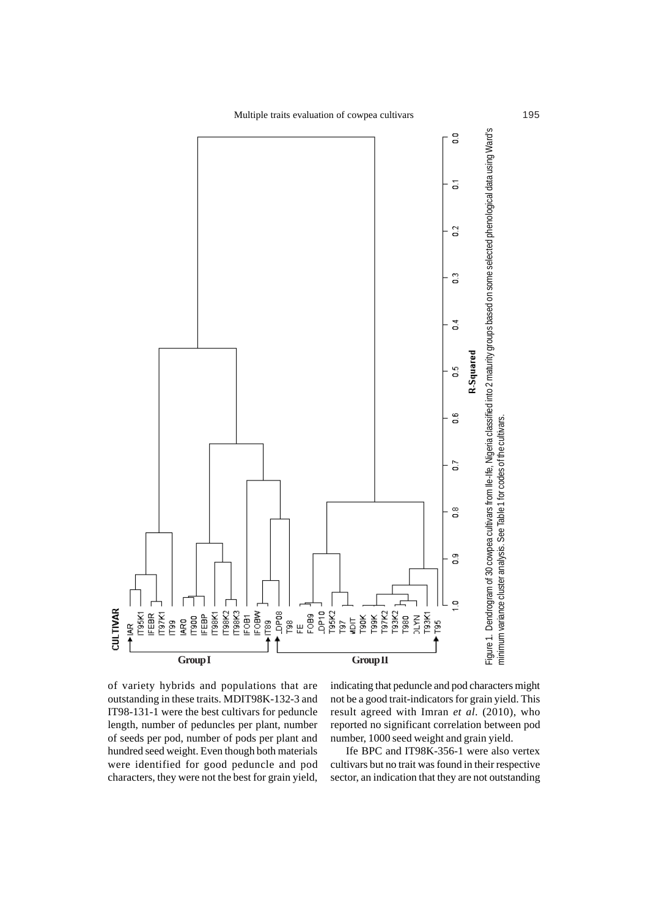Multiple traits evaluation of cowpea cultivars 195



of variety hybrids and populations that are outstanding in these traits. MDIT98K-132-3 and IT98-131-1 were the best cultivars for peduncle length, number of peduncles per plant, number of seeds per pod, number of pods per plant and hundred seed weight. Even though both materials were identified for good peduncle and pod characters, they were not the best for grain yield,

indicating that peduncle and pod characters might not be a good trait-indicators for grain yield. This result agreed with Imran *et al*. (2010), who reported no significant correlation between pod number, 1000 seed weight and grain yield.

Ife BPC and IT98K-356-1 were also vertex cultivars but no trait was found in their respective sector, an indication that they are not outstanding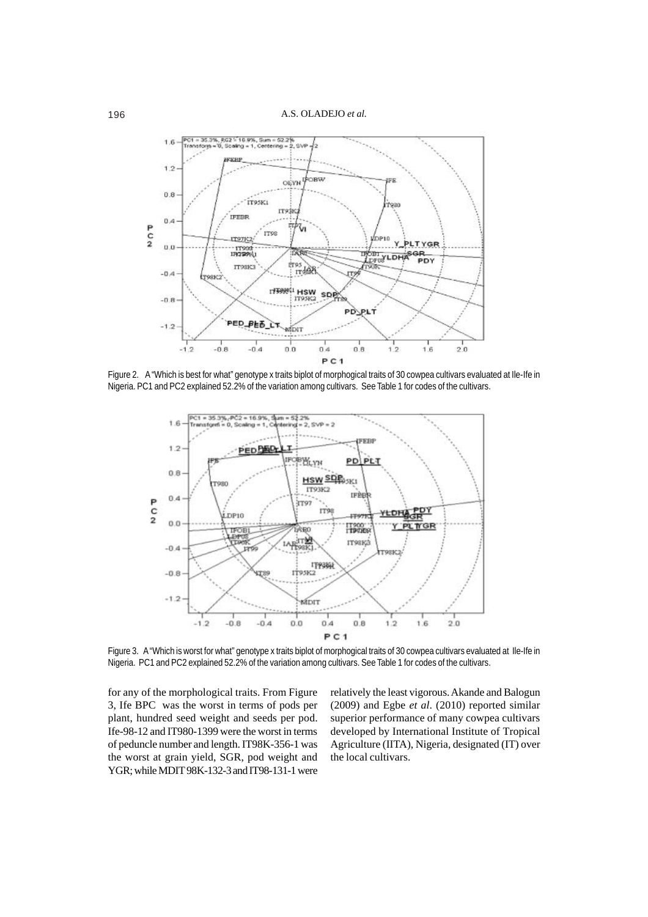

Figure 2. A "Which is best for what" genotype x traits biplot of morphogical traits of 30 cowpea cultivars evaluated at Ile-Ife in Nigeria. PC1 and PC2 explained 52.2% of the variation among cultivars. See Table 1 for codes of the cultivars.



Figure 3. A "Which is worst for what" genotype x traits biplot of morphogical traits of 30 cowpea cultivars evaluated at Ile-Ife in Nigeria. PC1 and PC2 explained 52.2% of the variation among cultivars. See Table 1 for codes of the cultivars.

for any of the morphological traits. From Figure 3, Ife BPC was the worst in terms of pods per plant, hundred seed weight and seeds per pod. Ife-98-12 and IT980-1399 were the worst in terms of peduncle number and length. IT98K-356-1 was the worst at grain yield, SGR, pod weight and YGR; while MDIT 98K-132-3 and IT98-131-1 were relatively the least vigorous. Akande and Balogun (2009) and Egbe *et al*. (2010) reported similar superior performance of many cowpea cultivars developed by International Institute of Tropical Agriculture (IITA), Nigeria, designated (IT) over the local cultivars.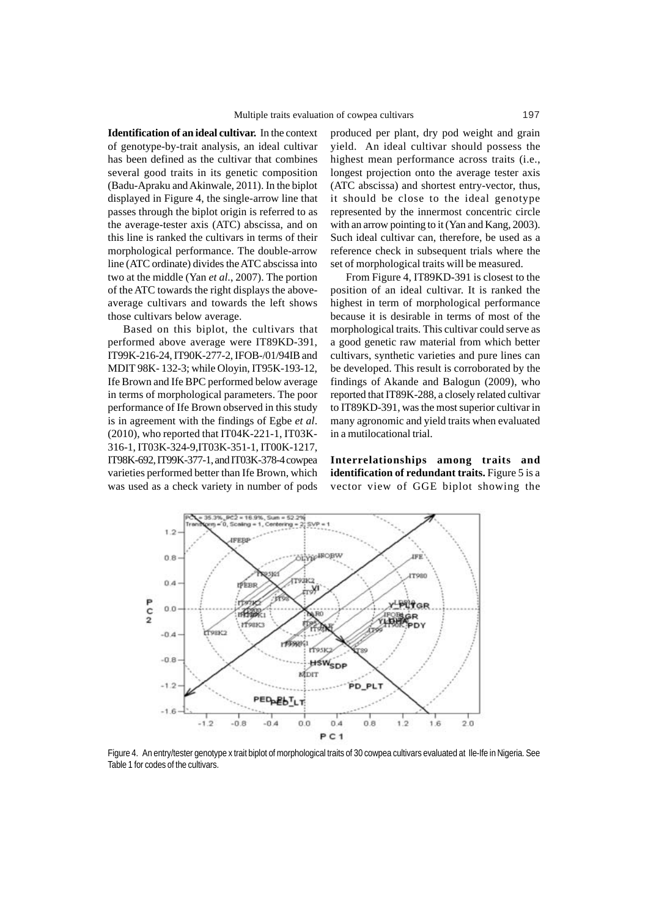**Identification of an ideal cultivar.** In the context of genotype-by-trait analysis, an ideal cultivar has been defined as the cultivar that combines several good traits in its genetic composition (Badu-Apraku and Akinwale, 2011). In the biplot displayed in Figure 4, the single-arrow line that passes through the biplot origin is referred to as the average-tester axis (ATC) abscissa, and on this line is ranked the cultivars in terms of their morphological performance. The double-arrow line (ATC ordinate) divides the ATC abscissa into two at the middle (Yan *et al*., 2007). The portion of the ATC towards the right displays the aboveaverage cultivars and towards the left shows those cultivars below average.

Based on this biplot, the cultivars that performed above average were IT89KD-391, IT99K-216-24, IT90K-277-2, IFOB-/01/94IB and MDIT 98K- 132-3; while Oloyin, IT95K-193-12, Ife Brown and Ife BPC performed below average in terms of morphological parameters. The poor performance of Ife Brown observed in this study is in agreement with the findings of Egbe *et al*. (2010), who reported that IT04K-221-1, IT03K-316-1, IT03K-324-9,IT03K-351-1, IT00K-1217, IT98K-692, IT99K-377-1, and IT03K-378-4 cowpea varieties performed better than Ife Brown, which was used as a check variety in number of pods

produced per plant, dry pod weight and grain yield. An ideal cultivar should possess the highest mean performance across traits (i.e., longest projection onto the average tester axis (ATC abscissa) and shortest entry-vector, thus, it should be close to the ideal genotype represented by the innermost concentric circle with an arrow pointing to it (Yan and Kang, 2003). Such ideal cultivar can, therefore, be used as a reference check in subsequent trials where the set of morphological traits will be measured.

From Figure 4, IT89KD-391 is closest to the position of an ideal cultivar. It is ranked the highest in term of morphological performance because it is desirable in terms of most of the morphological traits. This cultivar could serve as a good genetic raw material from which better cultivars, synthetic varieties and pure lines can be developed. This result is corroborated by the findings of Akande and Balogun (2009), who reported that IT89K-288, a closely related cultivar to IT89KD-391, was the most superior cultivar in many agronomic and yield traits when evaluated in a mutilocational trial.

**Interrelationships among traits and identification of redundant traits.** Figure 5 is a vector view of GGE biplot showing the



Figure 4. An entry/tester genotype x trait biplot of morphological traits of 30 cowpea cultivars evaluated at Ile-Ife in Nigeria. See Table 1 for codes of the cultivars.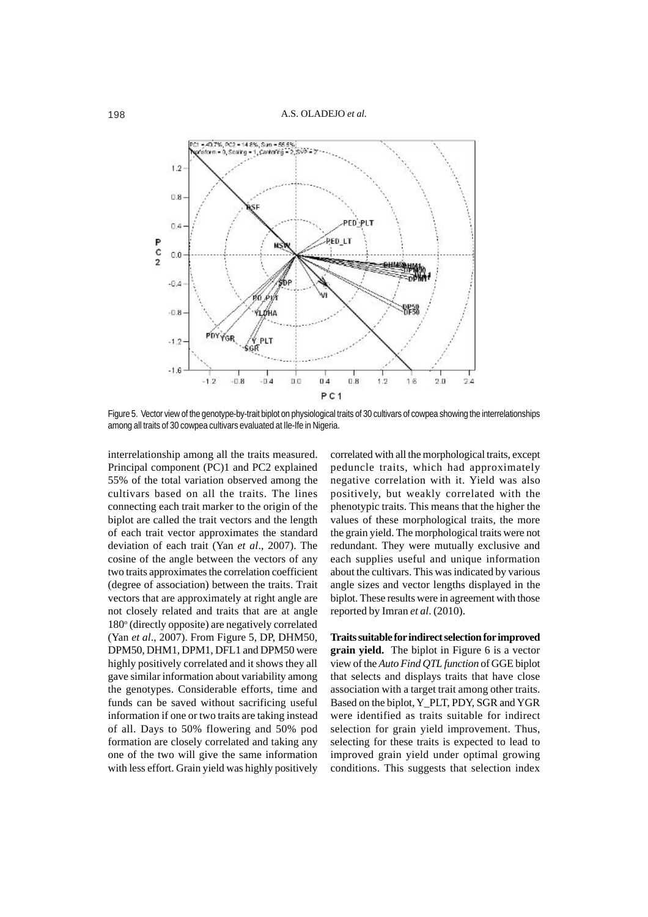

Figure 5. Vector view of the genotype-by-trait biplot on physiological traits of 30 cultivars of cowpea showing the interrelationships among all traits of 30 cowpea cultivars evaluated at Ile-Ife in Nigeria.

interrelationship among all the traits measured. Principal component (PC)1 and PC2 explained 55% of the total variation observed among the cultivars based on all the traits. The lines connecting each trait marker to the origin of the biplot are called the trait vectors and the length of each trait vector approximates the standard deviation of each trait (Yan *et al*., 2007). The cosine of the angle between the vectors of any two traits approximates the correlation coefficient (degree of association) between the traits. Trait vectors that are approximately at right angle are not closely related and traits that are at angle 180° (directly opposite) are negatively correlated (Yan *et al*., 2007). From Figure 5, DP, DHM50, DPM50, DHM1, DPM1, DFL1 and DPM50 were highly positively correlated and it shows they all gave similar information about variability among the genotypes. Considerable efforts, time and funds can be saved without sacrificing useful information if one or two traits are taking instead of all. Days to 50% flowering and 50% pod formation are closely correlated and taking any one of the two will give the same information with less effort. Grain yield was highly positively

correlated with all the morphological traits, except peduncle traits, which had approximately negative correlation with it. Yield was also positively, but weakly correlated with the phenotypic traits. This means that the higher the values of these morphological traits, the more the grain yield. The morphological traits were not redundant. They were mutually exclusive and each supplies useful and unique information about the cultivars. This was indicated by various angle sizes and vector lengths displayed in the biplot. These results were in agreement with those reported by Imran *et al*. (2010).

**Traits suitable for indirect selection for improved grain yield.** The biplot in Figure 6 is a vector view of the *Auto Find QTL function* of GGE biplot that selects and displays traits that have close association with a target trait among other traits. Based on the biplot, Y\_PLT, PDY, SGR and YGR were identified as traits suitable for indirect selection for grain yield improvement. Thus, selecting for these traits is expected to lead to improved grain yield under optimal growing conditions. This suggests that selection index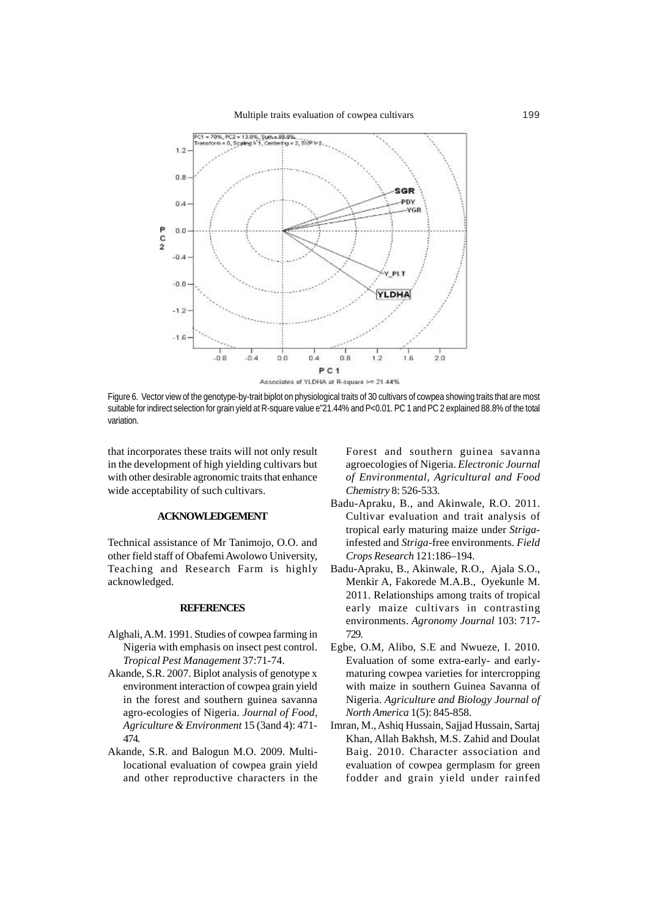

Figure 6. Vector view of the genotype-by-trait biplot on physiological traits of 30 cultivars of cowpea showing traits that are most suitable for indirect selection for grain yield at R-square value e"21.44% and P<0.01. PC 1 and PC 2 explained 88.8% of the total variation.

that incorporates these traits will not only result in the development of high yielding cultivars but with other desirable agronomic traits that enhance wide acceptability of such cultivars.

## **ACKNOWLEDGEMENT**

Technical assistance of Mr Tanimojo, O.O. and other field staff of Obafemi Awolowo University, Teaching and Research Farm is highly acknowledged.

#### **REFERENCES**

- Alghali, A.M. 1991. Studies of cowpea farming in Nigeria with emphasis on insect pest control. *Tropical Pest Management* 37:71-74.
- Akande, S.R. 2007. Biplot analysis of genotype x environment interaction of cowpea grain yield in the forest and southern guinea savanna agro-ecologies of Nigeria. *Journal of Food, Agriculture & Environment* 15 (3and 4): 471- 474.
- Akande, S.R. and Balogun M.O. 2009. Multilocational evaluation of cowpea grain yield and other reproductive characters in the

Forest and southern guinea savanna agroecologies of Nigeria. *Electronic Journal of Environmental, Agricultural and Food Chemistry* 8: 526-533.

- Badu-Apraku, B., and Akinwale, R.O. 2011. Cultivar evaluation and trait analysis of tropical early maturing maize under *Striga*infested and *Striga*-free environments. *Field Crops Research* 121:186–194.
- Badu-Apraku, B., Akinwale, R.O., Ajala S.O., Menkir A, Fakorede M.A.B., Oyekunle M. 2011. Relationships among traits of tropical early maize cultivars in contrasting environments. *Agronomy Journal* 103: 717- 729.
- Egbe, O.M, Alibo, S.E and Nwueze, I. 2010. Evaluation of some extra-early- and earlymaturing cowpea varieties for intercropping with maize in southern Guinea Savanna of Nigeria. *Agriculture and Biology Journal of North America* 1(5): 845-858.
- Imran, M., Ashiq Hussain, Sajjad Hussain, Sartaj Khan, Allah Bakhsh, M.S. Zahid and Doulat Baig. 2010. Character association and evaluation of cowpea germplasm for green fodder and grain yield under rainfed